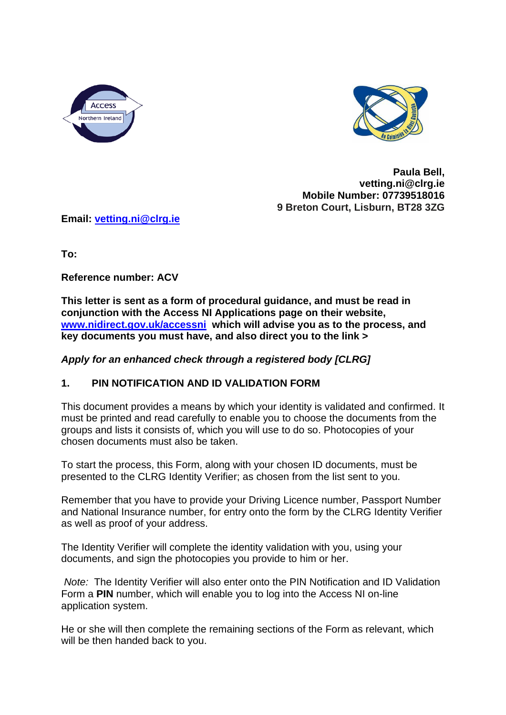



**Paula Bell, vetting.ni@clrg.ie Mobile Number: 07739518016 9 Breton Court, Lisburn, BT28 3ZG**

**Email: [vetting.ni@clrg.ie](mailto:vetting.ni@clrg.ie)**

**To:** 

**Reference number: ACV** 

**This letter is sent as a form of procedural guidance, and must be read in conjunction with the Access NI Applications page on their website, [www.nidirect.gov.uk/accessni](http://www.nidirect.gov.uk/accessni) which will advise you as to the process, and key documents you must have, and also direct you to the link >**

*Apply for an enhanced check through a registered body [CLRG]*

## **1. PIN NOTIFICATION AND ID VALIDATION FORM**

This document provides a means by which your identity is validated and confirmed. It must be printed and read carefully to enable you to choose the documents from the groups and lists it consists of, which you will use to do so. Photocopies of your chosen documents must also be taken.

To start the process, this Form, along with your chosen ID documents, must be presented to the CLRG Identity Verifier; as chosen from the list sent to you.

Remember that you have to provide your Driving Licence number, Passport Number and National Insurance number, for entry onto the form by the CLRG Identity Verifier as well as proof of your address.

The Identity Verifier will complete the identity validation with you, using your documents, and sign the photocopies you provide to him or her.

*Note:* The Identity Verifier will also enter onto the PIN Notification and ID Validation Form a **PIN** number, which will enable you to log into the Access NI on-line application system.

He or she will then complete the remaining sections of the Form as relevant, which will be then handed back to you.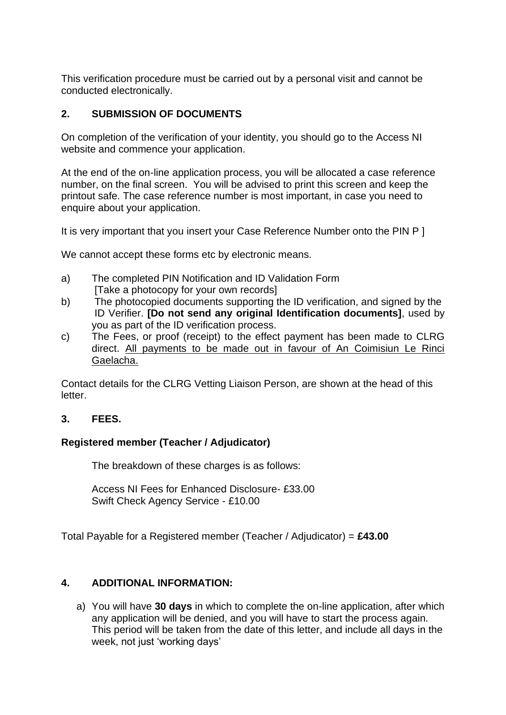This verification procedure must be carried out by a personal visit and cannot be conducted electronically.

# **2. SUBMISSION OF DOCUMENTS**

On completion of the verification of your identity, you should go to the Access NI website and commence your application.

At the end of the on-line application process, you will be allocated a case reference number, on the final screen. You will be advised to print this screen and keep the printout safe. The case reference number is most important, in case you need to enquire about your application.

It is very important that you insert your Case Reference Number onto the PIN P ]

We cannot accept these forms etc by electronic means.

- a) The completed PIN Notification and ID Validation Form [Take a photocopy for your own records]
- b) The photocopied documents supporting the ID verification, and signed by the ID Verifier. **[Do not send any original Identification documents]**, used by you as part of the ID verification process.
- c) The Fees, or proof (receipt) to the effect payment has been made to CLRG direct. All payments to be made out in favour of An Coimisiun Le Rinci Gaelacha.

Contact details for the CLRG Vetting Liaison Person, are shown at the head of this letter.

### **3. FEES.**

## **Registered member (Teacher / Adjudicator)**

The breakdown of these charges is as follows:

Access NI Fees for Enhanced Disclosure- £33.00 Swift Check Agency Service - £10.00

Total Payable for a Registered member (Teacher / Adjudicator) = **£43.00**

## **4. ADDITIONAL INFORMATION:**

a) You will have **30 days** in which to complete the on-line application, after which any application will be denied, and you will have to start the process again. This period will be taken from the date of this letter, and include all days in the week, not just 'working days'